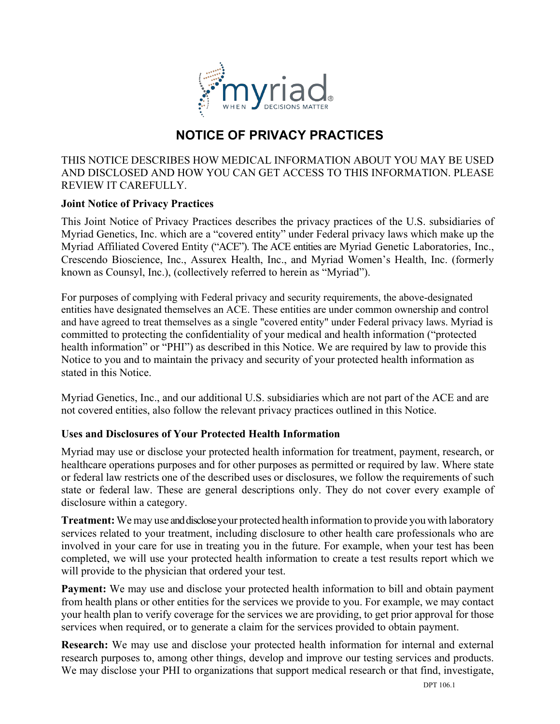

# **NOTICE OF PRIVACY PRACTICES**

THIS NOTICE DESCRIBES HOW MEDICAL INFORMATION ABOUT YOU MAY BE USED AND DISCLOSED AND HOW YOU CAN GET ACCESS TO THIS INFORMATION. PLEASE REVIEW IT CAREFULLY.

# **Joint Notice of Privacy Practices**

This Joint Notice of Privacy Practices describes the privacy practices of the U.S. subsidiaries of Myriad Genetics, Inc. which are a "covered entity" under Federal privacy laws which make up the Myriad Affiliated Covered Entity ("ACE"). The ACE entities are Myriad Genetic Laboratories, Inc., Crescendo Bioscience, Inc., Assurex Health, Inc., and Myriad Women's Health, Inc. (formerly known as Counsyl, Inc.), (collectively referred to herein as "Myriad").

For purposes of complying with Federal privacy and security requirements, the above-designated entities have designated themselves an ACE. These entities are under common ownership and control and have agreed to treat themselves as a single "covered entity" under Federal privacy laws. Myriad is committed to protecting the confidentiality of your medical and health information ("protected health information" or "PHI") as described in this Notice. We are required by law to provide this Notice to you and to maintain the privacy and security of your protected health information as stated in this Notice.

Myriad Genetics, Inc., and our additional U.S. subsidiaries which are not part of the ACE and are not covered entities, also follow the relevant privacy practices outlined in this Notice.

# **Uses and Disclosures of Your Protected Health Information**

Myriad may use or disclose your protected health information for treatment, payment, research, or healthcare operations purposes and for other purposes as permitted or required by law. Where state or federal law restricts one of the described uses or disclosures, we follow the requirements of such state or federal law. These are general descriptions only. They do not cover every example of disclosure within a category.

**Treatment:** We may use and disclose your protected health information to provide you with laboratory services related to your treatment, including disclosure to other health care professionals who are involved in your care for use in treating you in the future. For example, when your test has been completed, we will use your protected health information to create a test results report which we will provide to the physician that ordered your test.

**Payment:** We may use and disclose your protected health information to bill and obtain payment from health plans or other entities for the services we provide to you. For example, we may contact your health plan to verify coverage for the services we are providing, to get prior approval for those services when required, or to generate a claim for the services provided to obtain payment.

**Research:** We may use and disclose your protected health information for internal and external research purposes to, among other things, develop and improve our testing services and products. We may disclose your PHI to organizations that support medical research or that find, investigate,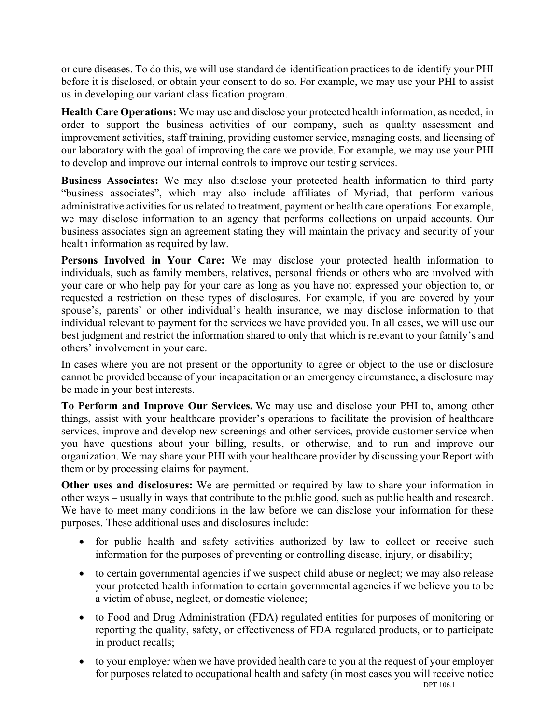or cure diseases. To do this, we will use standard de-identification practices to de-identify your PHI before it is disclosed, or obtain your consent to do so. For example, we may use your PHI to assist us in developing our variant classification program.

**Health Care Operations:** We may use and disclose your protected health information, as needed, in order to support the business activities of our company, such as quality assessment and improvement activities, staff training, providing customer service, managing costs, and licensing of our laboratory with the goal of improving the care we provide. For example, we may use your PHI to develop and improve our internal controls to improve our testing services.

**Business Associates:** We may also disclose your protected health information to third party "business associates", which may also include affiliates of Myriad, that perform various administrative activities for us related to treatment, payment or health care operations. For example, we may disclose information to an agency that performs collections on unpaid accounts. Our business associates sign an agreement stating they will maintain the privacy and security of your health information as required by law.

**Persons Involved in Your Care:** We may disclose your protected health information to individuals, such as family members, relatives, personal friends or others who are involved with your care or who help pay for your care as long as you have not expressed your objection to, or requested a restriction on these types of disclosures. For example, if you are covered by your spouse's, parents' or other individual's health insurance, we may disclose information to that individual relevant to payment for the services we have provided you. In all cases, we will use our best judgment and restrict the information shared to only that which is relevant to your family's and others' involvement in your care.

In cases where you are not present or the opportunity to agree or object to the use or disclosure cannot be provided because of your incapacitation or an emergency circumstance, a disclosure may be made in your best interests.

**To Perform and Improve Our Services.** We may use and disclose your PHI to, among other things, assist with your healthcare provider's operations to facilitate the provision of healthcare services, improve and develop new screenings and other services, provide customer service when you have questions about your billing, results, or otherwise, and to run and improve our organization. We may share your PHI with your healthcare provider by discussing your Report with them or by processing claims for payment.

**Other uses and disclosures:** We are permitted or required by law to share your information in other ways – usually in ways that contribute to the public good, such as public health and research. We have to meet many conditions in the law before we can disclose your information for these purposes. These additional uses and disclosures include:

- for public health and safety activities authorized by law to collect or receive such information for the purposes of preventing or controlling disease, injury, or disability;
- to certain governmental agencies if we suspect child abuse or neglect; we may also release your protected health information to certain governmental agencies if we believe you to be a victim of abuse, neglect, or domestic violence;
- to Food and Drug Administration (FDA) regulated entities for purposes of monitoring or reporting the quality, safety, or effectiveness of FDA regulated products, or to participate in product recalls;
- to your employer when we have provided health care to you at the request of your employer for purposes related to occupational health and safety (in most cases you will receive notice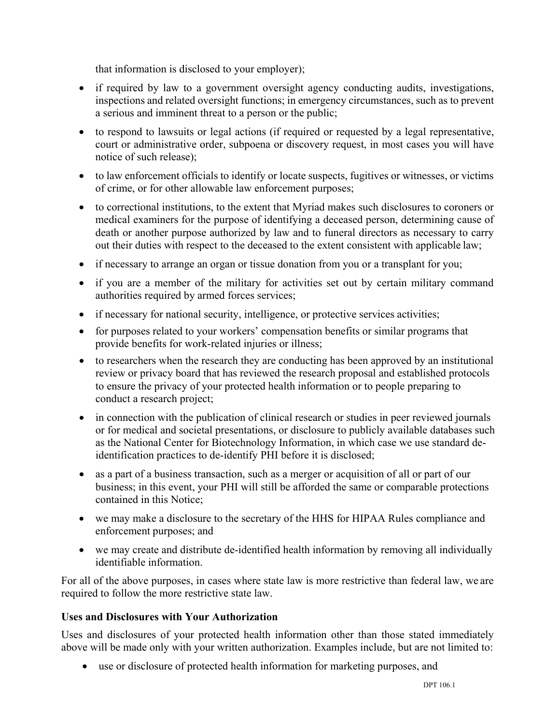that information is disclosed to your employer);

- if required by law to a government oversight agency conducting audits, investigations, inspections and related oversight functions; in emergency circumstances, such as to prevent a serious and imminent threat to a person or the public;
- to respond to lawsuits or legal actions (if required or requested by a legal representative, court or administrative order, subpoena or discovery request, in most cases you will have notice of such release);
- to law enforcement officials to identify or locate suspects, fugitives or witnesses, or victims of crime, or for other allowable law enforcement purposes;
- to correctional institutions, to the extent that Myriad makes such disclosures to coroners or medical examiners for the purpose of identifying a deceased person, determining cause of death or another purpose authorized by law and to funeral directors as necessary to carry out their duties with respect to the deceased to the extent consistent with applicable law;
- if necessary to arrange an organ or tissue donation from you or a transplant for you;
- if you are a member of the military for activities set out by certain military command authorities required by armed forces services;
- if necessary for national security, intelligence, or protective services activities;
- for purposes related to your workers' compensation benefits or similar programs that provide benefits for work-related injuries or illness;
- to researchers when the research they are conducting has been approved by an institutional review or privacy board that has reviewed the research proposal and established protocols to ensure the privacy of your protected health information or to people preparing to conduct a research project;
- in connection with the publication of clinical research or studies in peer reviewed journals or for medical and societal presentations, or disclosure to publicly available databases such as the National Center for Biotechnology Information, in which case we use standard deidentification practices to de-identify PHI before it is disclosed;
- as a part of a business transaction, such as a merger or acquisition of all or part of our business; in this event, your PHI will still be afforded the same or comparable protections contained in this Notice;
- we may make a disclosure to the secretary of the HHS for HIPAA Rules compliance and enforcement purposes; and
- we may create and distribute de-identified health information by removing all individually identifiable information.

For all of the above purposes, in cases where state law is more restrictive than federal law, we are required to follow the more restrictive state law.

# **Uses and Disclosures with Your Authorization**

Uses and disclosures of your protected health information other than those stated immediately above will be made only with your written authorization. Examples include, but are not limited to:

• use or disclosure of protected health information for marketing purposes, and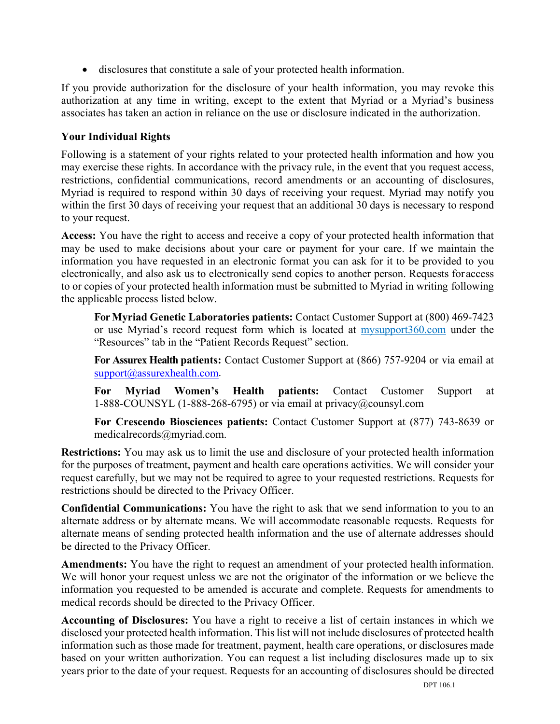• disclosures that constitute a sale of your protected health information.

If you provide authorization for the disclosure of your health information, you may revoke this authorization at any time in writing, except to the extent that Myriad or a Myriad's business associates has taken an action in reliance on the use or disclosure indicated in the authorization.

# **Your Individual Rights**

Following is a statement of your rights related to your protected health information and how you may exercise these rights. In accordance with the privacy rule, in the event that you request access, restrictions, confidential communications, record amendments or an accounting of disclosures, Myriad is required to respond within 30 days of receiving your request. Myriad may notify you within the first 30 days of receiving your request that an additional 30 days is necessary to respond to your request.

**Access:** You have the right to access and receive a copy of your protected health information that may be used to make decisions about your care or payment for your care. If we maintain the information you have requested in an electronic format you can ask for it to be provided to you electronically, and also ask us to electronically send copies to another person. Requests for access to or copies of your protected health information must be submitted to Myriad in writing following the applicable process listed below.

**For Myriad Genetic Laboratories patients:** Contact Customer Support at (800) 469-7423 or use Myriad's record request form which is located at mysupport360.com under the "Resources" tab in the "Patient Records Request" section.

**For Assurex Health patients:** Contact Customer Support at (866) 757-9204 or via email at [support@assurexhealth.com.](mailto:support@assurexhealth.com)

**For Myriad Women's Health patients:** Contact Customer Support at 1-888-COUNSYL (1-888-268-6795) or via email at privacy@counsyl.com

**For Crescendo Biosciences patients:** Contact Customer Support at (877) 743-8639 or medicalrecords@myriad.com.

**Restrictions:** You may ask us to limit the use and disclosure of your protected health information for the purposes of treatment, payment and health care operations activities. We will consider your request carefully, but we may not be required to agree to your requested restrictions. Requests for restrictions should be directed to the Privacy Officer.

**Confidential Communications:** You have the right to ask that we send information to you to an alternate address or by alternate means. We will accommodate reasonable requests. Requests for alternate means of sending protected health information and the use of alternate addresses should be directed to the Privacy Officer.

**Amendments:** You have the right to request an amendment of your protected health information. We will honor your request unless we are not the originator of the information or we believe the information you requested to be amended is accurate and complete. Requests for amendments to medical records should be directed to the Privacy Officer.

**Accounting of Disclosures:** You have a right to receive a list of certain instances in which we disclosed your protected health information. This list will not include disclosures of protected health information such as those made for treatment, payment, health care operations, or disclosures made based on your written authorization. You can request a list including disclosures made up to six years prior to the date of your request. Requests for an accounting of disclosures should be directed